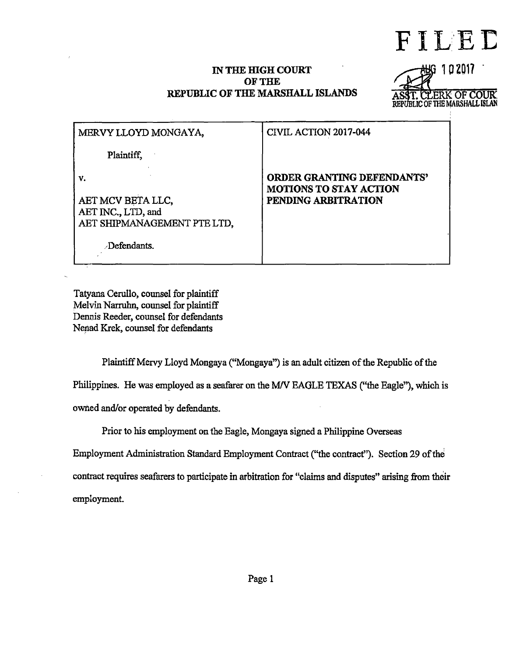FILED

## IN THE HIGH COURT OF THE REPUBLIC OF THE MARSHALL ISLANDS



| MERVY LLOYD MONGAYA,                                                         | CIVIL ACTION 2017-044                                                       |
|------------------------------------------------------------------------------|-----------------------------------------------------------------------------|
| Plaintiff,                                                                   |                                                                             |
| V.<br>AET MCV BETA LLC,<br>AET INC., LTD, and<br>AET SHIPMANAGEMENT PTE LTD, | ORDER GRANTING DEFENDANTS'<br>MOTIONS TO STAY ACTION<br>PENDING ARBITRATION |
| Defendants.                                                                  |                                                                             |

Tatyana Cerullo, counsel for plaintiff Melvin Narruhn, counsel for plaintiff Dennis Reeder, counsel for defendants Nenad Krek, counsel for defendants

Plaintiff Mervy Lloyd Mongaya ("Mongaya") is an adult citizen of the Republic of the Philippines. He was employed as a seafarer on the *MN* EAGLE TEXAS ("the Eagle"), which is owned and/or operated by defendants.

Prior to his employment on the Eagle, Mongaya signed a Philippine Overseas

Employment Administration Standard Employment Contract ("the contract''). Section 29 of the

contract requires seafarers to participate in arbitration for "claims and disputes" arising from their employment.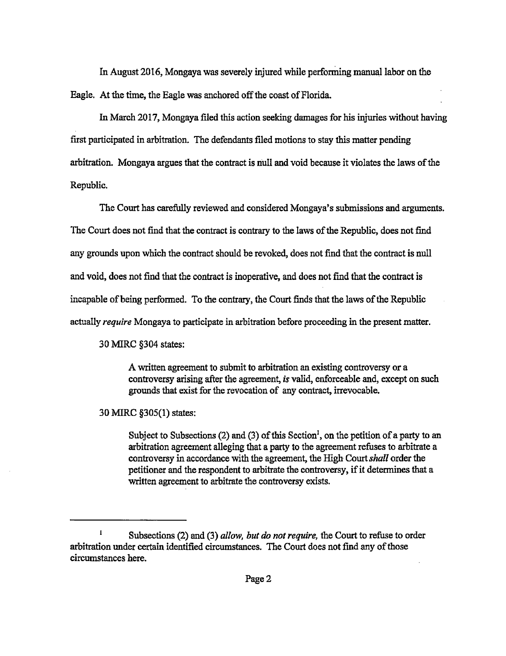In August 2016, Mongaya was severely injured while performing manual labor on the Eagle. At the time, the Eagle was anchored off the coast of Florida.

In March 2017, Mongaya filed this action seeking damages for his injuries without having first participated in arbitration. The defendants filed motions to stay this matter pending arbitration. Mongaya argues that the contract is null and void because it violates the laws of the Republic.

The Court has carefully reviewed and considered Mongaya's submissions and arguments. The Court does not find that the contract is contrary to the laws of the Republic, does not find any grounds upon which the contract should be revoked, does not find that the contract is null and void, does not find that the contract is inoperative, and does not find that the contract is incapable of being performed. To the contrary, the Court finds that the laws of the Republic actually *require* Mongaya to participate in arbitration before proceeding in the present matter.

30 MIRC §304 states:

A written agreement to submit to arbitration an existing controversy or a controversy arising after the agreement, *is* valid, enforceable and, except on such grounds that exist for the revocation of any contract, irrevocable.

30 MIRC §305(1) states:

Subject to Subsections (2) and (3) of this Section<sup>1</sup>, on the petition of a party to an arbitration agreement alleging that a party to the agreement refuses to arbitrate a controversy in accordance with the agreement, the High Court *shall* order the petitioner and the respondent to arbitrate the controversy, if it determines that a written agreement to arbitrate the controversy exists.

 $\pmb{1}$ Subsections (2) and (3) *allow, but do not require,* the Court to refuse to order arbitration under certain identified circumstances. The Court does not find any of those circumstances here.